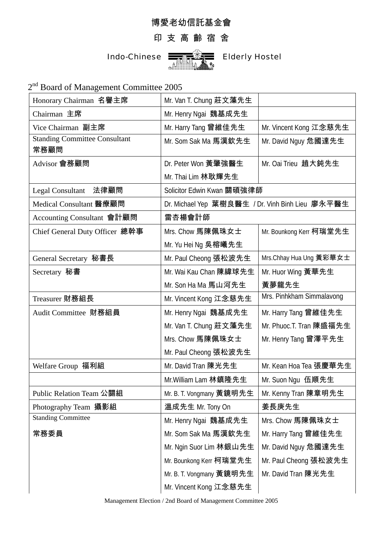## 博愛老幼信託基金會

## 印 支 高 齡 宿 舍



2<sup>nd</sup> Board of Management Committee 2005

| Honorary Chairman 名譽主席               | Mr. Van T. Chung 莊文藻先生                           |                           |
|--------------------------------------|--------------------------------------------------|---------------------------|
| Chairman 主席                          | Mr. Henry Ngai 魏基成先生                             |                           |
| Vice Chairman 副主席                    | Mr. Harry Tang 曾維佳先生                             | Mr. Vincent Kong 江念慈先生    |
| <b>Standing Committee Consultant</b> | Mr. Som Sak Ma 馬漢欽先生                             | Mr. David Nguy 危國達先生      |
| 常務顧問                                 |                                                  |                           |
| Advisor 會務顧問                         | Dr. Peter Won 黃肇強醫生                              | Mr. Oai Trieu 趙大鈍先生       |
|                                      | Mr. Thai Lim 林耿輝先生                               |                           |
| <b>Legal Consultant</b><br>法律顧問      | Solicitor Edwin Kwan 關碩強律師                       |                           |
| Medical Consultant 醫療顧問              | Dr. Michael Yep 葉樹良醫生 / Dr. Vinh Binh Lieu 廖永平醫生 |                           |
| Accounting Consultant 會計顧問           | 雷杏楊會計師                                           |                           |
| Chief General Duty Officer 總幹事       | Mrs. Chow 馬陳佩珠女士                                 | Mr. Bounkong Kerr 柯瑞堂先生   |
|                                      | Mr. Yu Hei Ng 吳榕曦先生                              |                           |
| General Secretary 秘書長                | Mr. Paul Cheong 張松波先生                            | Mrs.Chhay Hua Ung 黃彩華女士   |
| Secretary 秘書                         | Mr. Wai Kau Chan 陳緯球先生                           | Mr. Huor Wing 黃華先生        |
|                                      | Mr. Son Ha Ma 馬山河先生                              | 黃夢龍先生                     |
| Treasurer 財務組長                       | Mr. Vincent Kong 江念慈先生                           | Mrs. Pinhkham Simmalavong |
| Audit Committee 財務組員                 | Mr. Henry Ngai 魏基成先生                             | Mr. Harry Tang 曾維佳先生      |
|                                      | Mr. Van T. Chung 莊文藻先生                           | Mr. Phuoc.T. Tran 陳盛福先生   |
|                                      | Mrs. Chow 馬陳佩珠女士                                 | Mr. Henry Tang 曾澤平先生      |
|                                      | Mr. Paul Cheong 張松波先生                            |                           |
| Welfare Group 福利組                    | Mr. David Tran 陳光先生                              | Mr. Kean Hoa Tea 張慶華先生    |
|                                      | Mr. William Lam 林鎮隆先生                            | Mr. Suon Ngu 伍順先生         |
| Public Relation Team 公關組             | Mr. B. T. Vongmany 黃鏡明先生                         | Mr. Kenny Tran 陳章明先生      |
| Photography Team 攝影組                 | 溫成先生 Mr. Tony On                                 | 姜長庚先生                     |
| <b>Standing Committee</b>            | Mr. Henry Ngai 魏基成先生                             | Mrs. Chow 馬陳佩珠女士          |
| 常務委員                                 | Mr. Som Sak Ma 馬漢欽先生                             | Mr. Harry Tang 曾維佳先生      |
|                                      | Mr. Ngin Suor Lim 林銀山先生                          | Mr. David Nguy 危國達先生      |
|                                      | Mr. Bounkong Kerr 柯瑞堂先生                          | Mr. Paul Cheong 張松波先生     |
|                                      | Mr. B. T. Vongmany 黃鏡明先生                         | Mr. David Tran 陳光先生       |
|                                      | Mr. Vincent Kong 江念慈先生                           |                           |

Management Election / 2nd Board of Management Committee 2005